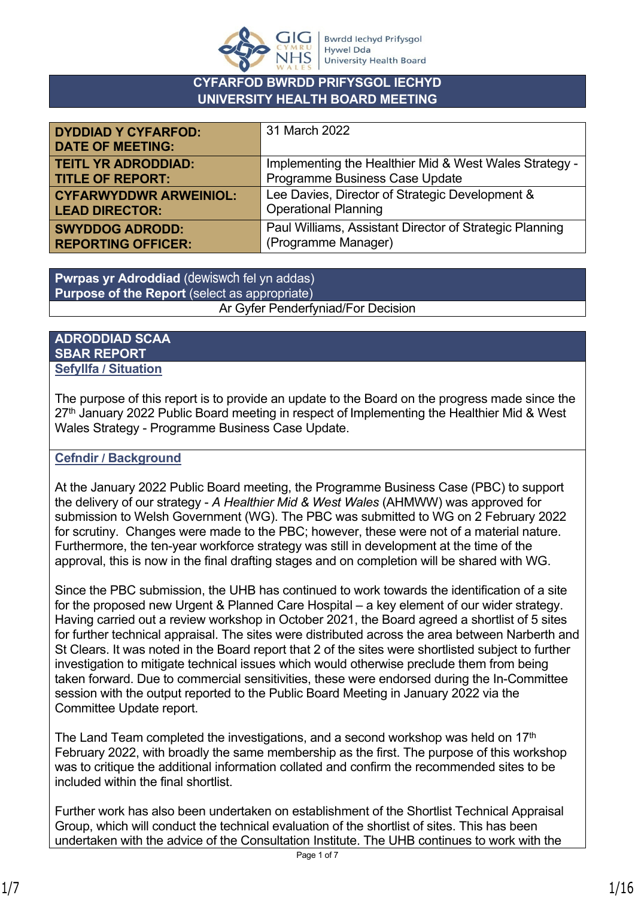

### **CYFARFOD BWRDD PRIFYSGOL IECHYD UNIVERSITY HEALTH BOARD MEETING**

| <b>DYDDIAD Y CYFARFOD:</b><br><b>DATE OF MEETING:</b> | 31 March 2022                                           |
|-------------------------------------------------------|---------------------------------------------------------|
| <b>TEITL YR ADRODDIAD:</b>                            | Implementing the Healthier Mid & West Wales Strategy -  |
| <b>TITLE OF REPORT:</b>                               | Programme Business Case Update                          |
| <b>CYFARWYDDWR ARWEINIOL:</b>                         | Lee Davies, Director of Strategic Development &         |
| <b>LEAD DIRECTOR:</b>                                 | <b>Operational Planning</b>                             |
| <b>SWYDDOG ADRODD:</b>                                | Paul Williams, Assistant Director of Strategic Planning |
| <b>REPORTING OFFICER:</b>                             | (Programme Manager)                                     |

**Pwrpas yr Adroddiad** (dewiswch fel yn addas) **Purpose of the Report** (select as appropriate) Ar Gyfer Penderfyniad/For Decision

#### **ADRODDIAD SCAA SBAR REPORT Sefyllfa / Situation**

The purpose of this report is to provide an update to the Board on the progress made since the 27<sup>th</sup> January 2022 Public Board meeting in respect of Implementing the Healthier Mid & West Wales Strategy - Programme Business Case Update.

## **Cefndir / Background**

At the January 2022 Public Board meeting, the Programme Business Case (PBC) to support the delivery of our strategy - *A Healthier Mid & West Wales* (AHMWW) was approved for submission to Welsh Government (WG). The PBC was submitted to WG on 2 February 2022 for scrutiny. Changes were made to the PBC; however, these were not of a material nature. Furthermore, the ten-year workforce strategy was still in development at the time of the approval, this is now in the final drafting stages and on completion will be shared with WG.

Since the PBC submission, the UHB has continued to work towards the identification of a site for the proposed new Urgent & Planned Care Hospital – a key element of our wider strategy. Having carried out a review workshop in October 2021, the Board agreed a shortlist of 5 sites for further technical appraisal. The sites were distributed across the area between Narberth and St Clears. It was noted in the Board report that 2 of the sites were shortlisted subject to further investigation to mitigate technical issues which would otherwise preclude them from being taken forward. Due to commercial sensitivities, these were endorsed during the In-Committee session with the output reported to the Public Board Meeting in January 2022 via the Committee Update report.

The Land Team completed the investigations, and a second workshop was held on  $17<sup>th</sup>$ February 2022, with broadly the same membership as the first. The purpose of this workshop was to critique the additional information collated and confirm the recommended sites to be included within the final shortlist.

Further work has also been undertaken on establishment of the Shortlist Technical Appraisal Group, which will conduct the technical evaluation of the shortlist of sites. This has been undertaken with the advice of the Consultation Institute. The UHB continues to work with the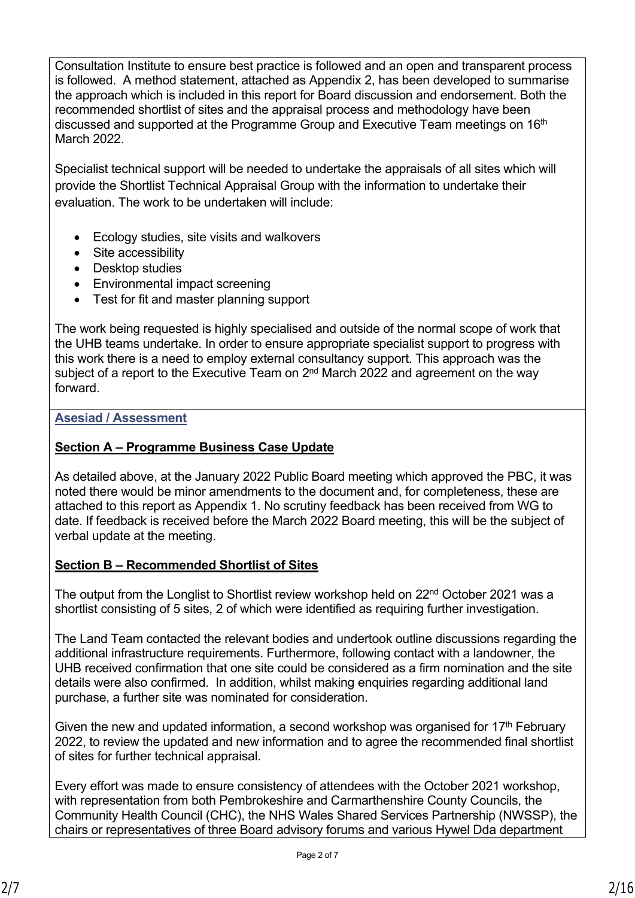Consultation Institute to ensure best practice is followed and an open and transparent process is followed. A method statement, attached as Appendix 2, has been developed to summarise the approach which is included in this report for Board discussion and endorsement. Both the recommended shortlist of sites and the appraisal process and methodology have been discussed and supported at the Programme Group and Executive Team meetings on 16<sup>th</sup> March 2022.

Specialist technical support will be needed to undertake the appraisals of all sites which will provide the Shortlist Technical Appraisal Group with the information to undertake their evaluation. The work to be undertaken will include:

- Ecology studies, site visits and walkovers
- Site accessibility
- Desktop studies
- Environmental impact screening
- Test for fit and master planning support

The work being requested is highly specialised and outside of the normal scope of work that the UHB teams undertake. In order to ensure appropriate specialist support to progress with this work there is a need to employ external consultancy support. This approach was the subject of a report to the Executive Team on 2<sup>nd</sup> March 2022 and agreement on the way forward.

### **Asesiad / Assessment**

### **Section A – Programme Business Case Update**

As detailed above, at the January 2022 Public Board meeting which approved the PBC, it was noted there would be minor amendments to the document and, for completeness, these are attached to this report as Appendix 1. No scrutiny feedback has been received from WG to date. If feedback is received before the March 2022 Board meeting, this will be the subject of verbal update at the meeting.

### **Section B – Recommended Shortlist of Sites**

The output from the Longlist to Shortlist review workshop held on 22<sup>nd</sup> October 2021 was a shortlist consisting of 5 sites, 2 of which were identified as requiring further investigation.

The Land Team contacted the relevant bodies and undertook outline discussions regarding the additional infrastructure requirements. Furthermore, following contact with a landowner, the UHB received confirmation that one site could be considered as a firm nomination and the site details were also confirmed. In addition, whilst making enquiries regarding additional land purchase, a further site was nominated for consideration.

Given the new and updated information, a second workshop was organised for  $17<sup>th</sup>$  February 2022, to review the updated and new information and to agree the recommended final shortlist of sites for further technical appraisal.

Every effort was made to ensure consistency of attendees with the October 2021 workshop, with representation from both Pembrokeshire and Carmarthenshire County Councils, the Community Health Council (CHC), the NHS Wales Shared Services Partnership (NWSSP), the chairs or representatives of three Board advisory forums and various Hywel Dda department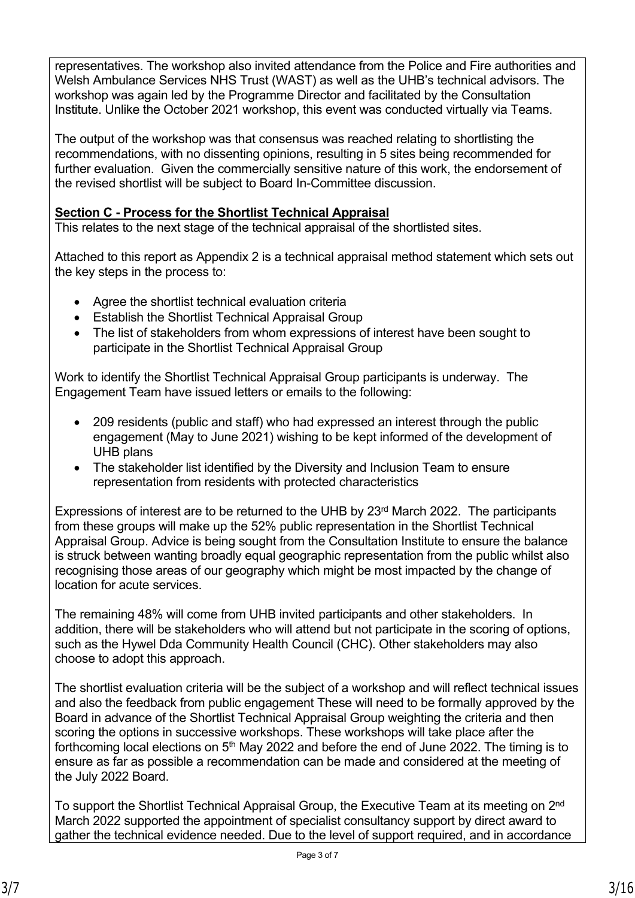representatives. The workshop also invited attendance from the Police and Fire authorities and Welsh Ambulance Services NHS Trust (WAST) as well as the UHB's technical advisors. The workshop was again led by the Programme Director and facilitated by the Consultation Institute. Unlike the October 2021 workshop, this event was conducted virtually via Teams.

The output of the workshop was that consensus was reached relating to shortlisting the recommendations, with no dissenting opinions, resulting in 5 sites being recommended for further evaluation. Given the commercially sensitive nature of this work, the endorsement of the revised shortlist will be subject to Board In-Committee discussion.

### **Section C - Process for the Shortlist Technical Appraisal**

This relates to the next stage of the technical appraisal of the shortlisted sites.

Attached to this report as Appendix 2 is a technical appraisal method statement which sets out the key steps in the process to:

- Agree the shortlist technical evaluation criteria
- Establish the Shortlist Technical Appraisal Group
- The list of stakeholders from whom expressions of interest have been sought to participate in the Shortlist Technical Appraisal Group

Work to identify the Shortlist Technical Appraisal Group participants is underway. The Engagement Team have issued letters or emails to the following:

- 209 residents (public and staff) who had expressed an interest through the public engagement (May to June 2021) wishing to be kept informed of the development of UHB plans
- The stakeholder list identified by the Diversity and Inclusion Team to ensure representation from residents with protected characteristics

Expressions of interest are to be returned to the UHB by 23<sup>rd</sup> March 2022. The participants from these groups will make up the 52% public representation in the Shortlist Technical Appraisal Group. Advice is being sought from the Consultation Institute to ensure the balance is struck between wanting broadly equal geographic representation from the public whilst also recognising those areas of our geography which might be most impacted by the change of location for acute services.

The remaining 48% will come from UHB invited participants and other stakeholders. In addition, there will be stakeholders who will attend but not participate in the scoring of options, such as the Hywel Dda Community Health Council (CHC). Other stakeholders may also choose to adopt this approach.

The shortlist evaluation criteria will be the subject of a workshop and will reflect technical issues and also the feedback from public engagement These will need to be formally approved by the Board in advance of the Shortlist Technical Appraisal Group weighting the criteria and then scoring the options in successive workshops. These workshops will take place after the forthcoming local elections on 5th May 2022 and before the end of June 2022. The timing is to ensure as far as possible a recommendation can be made and considered at the meeting of the July 2022 Board.

To support the Shortlist Technical Appraisal Group, the Executive Team at its meeting on 2<sup>nd</sup> March 2022 supported the appointment of specialist consultancy support by direct award to gather the technical evidence needed. Due to the level of support required, and in accordance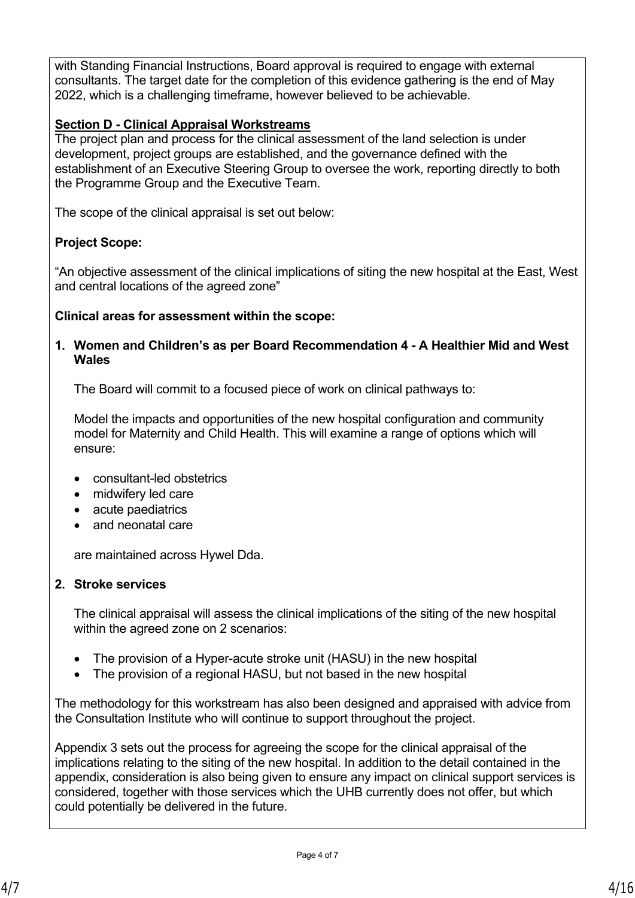with Standing Financial Instructions, Board approval is required to engage with external consultants. The target date for the completion of this evidence gathering is the end of May 2022, which is a challenging timeframe, however believed to be achievable.

### **Section D - Clinical Appraisal Workstreams**

The project plan and process for the clinical assessment of the land selection is under development, project groups are established, and the governance defined with the establishment of an Executive Steering Group to oversee the work, reporting directly to both the Programme Group and the Executive Team.

The scope of the clinical appraisal is set out below:

### **Project Scope:**

"An objective assessment of the clinical implications of siting the new hospital at the East, West and central locations of the agreed zone"

#### **Clinical areas for assessment within the scope:**

#### **1. Women and Children's as per Board Recommendation 4 - A Healthier Mid and West Wales**

The Board will commit to a focused piece of work on clinical pathways to:

Model the impacts and opportunities of the new hospital configuration and community model for Maternity and Child Health. This will examine a range of options which will ensure:

- consultant-led obstetrics
- midwifery led care
- acute paediatrics
- and neonatal care

are maintained across Hywel Dda.

#### **2. Stroke services**

The clinical appraisal will assess the clinical implications of the siting of the new hospital within the agreed zone on 2 scenarios:

- The provision of a Hyper-acute stroke unit (HASU) in the new hospital
- The provision of a regional HASU, but not based in the new hospital

The methodology for this workstream has also been designed and appraised with advice from the Consultation Institute who will continue to support throughout the project.

Appendix 3 sets out the process for agreeing the scope for the clinical appraisal of the implications relating to the siting of the new hospital. In addition to the detail contained in the appendix, consideration is also being given to ensure any impact on clinical support services is considered, together with those services which the UHB currently does not offer, but which could potentially be delivered in the future.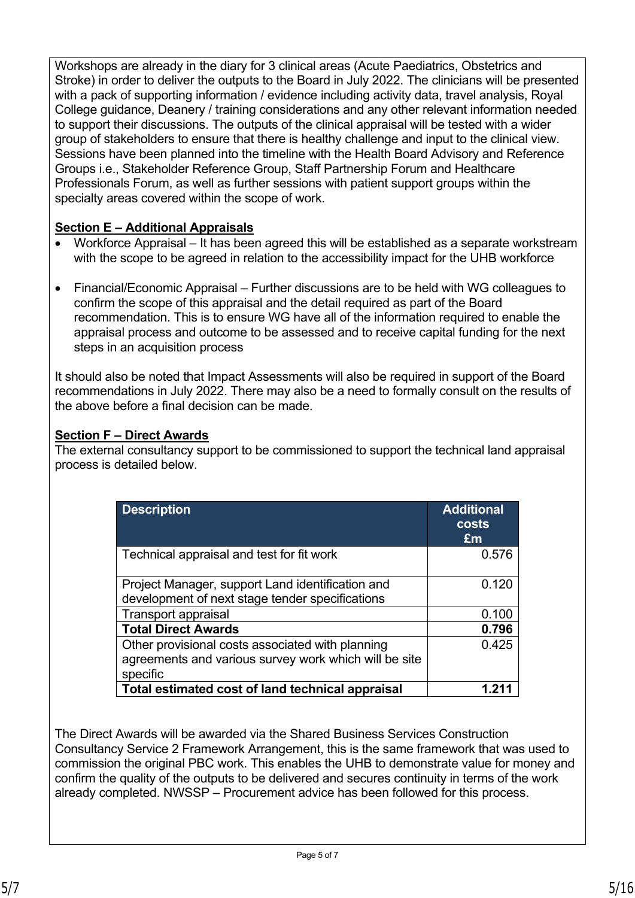Workshops are already in the diary for 3 clinical areas (Acute Paediatrics, Obstetrics and Stroke) in order to deliver the outputs to the Board in July 2022. The clinicians will be presented with a pack of supporting information / evidence including activity data, travel analysis, Royal College guidance, Deanery / training considerations and any other relevant information needed to support their discussions. The outputs of the clinical appraisal will be tested with a wider group of stakeholders to ensure that there is healthy challenge and input to the clinical view. Sessions have been planned into the timeline with the Health Board Advisory and Reference Groups i.e., Stakeholder Reference Group, Staff Partnership Forum and Healthcare Professionals Forum, as well as further sessions with patient support groups within the specialty areas covered within the scope of work.

### **Section E – Additional Appraisals**

- Workforce Appraisal It has been agreed this will be established as a separate workstream with the scope to be agreed in relation to the accessibility impact for the UHB workforce
- Financial/Economic Appraisal Further discussions are to be held with WG colleagues to confirm the scope of this appraisal and the detail required as part of the Board recommendation. This is to ensure WG have all of the information required to enable the appraisal process and outcome to be assessed and to receive capital funding for the next steps in an acquisition process

It should also be noted that Impact Assessments will also be required in support of the Board recommendations in July 2022. There may also be a need to formally consult on the results of the above before a final decision can be made.

### **Section F – Direct Awards**

The external consultancy support to be commissioned to support the technical land appraisal process is detailed below.

| <b>Description</b>                                    | <b>Additional</b><br><b>costs</b><br>£m |
|-------------------------------------------------------|-----------------------------------------|
| Technical appraisal and test for fit work             | 0.576                                   |
| Project Manager, support Land identification and      | 0.120                                   |
| development of next stage tender specifications       |                                         |
| <b>Transport appraisal</b>                            | 0.100                                   |
| <b>Total Direct Awards</b>                            | 0.796                                   |
| Other provisional costs associated with planning      | 0.425                                   |
| agreements and various survey work which will be site |                                         |
| specific                                              |                                         |
| Total estimated cost of land technical appraisal      |                                         |

The Direct Awards will be awarded via the Shared Business Services Construction Consultancy Service 2 Framework Arrangement, this is the same framework that was used to commission the original PBC work. This enables the UHB to demonstrate value for money and confirm the quality of the outputs to be delivered and secures continuity in terms of the work already completed. NWSSP – Procurement advice has been followed for this process.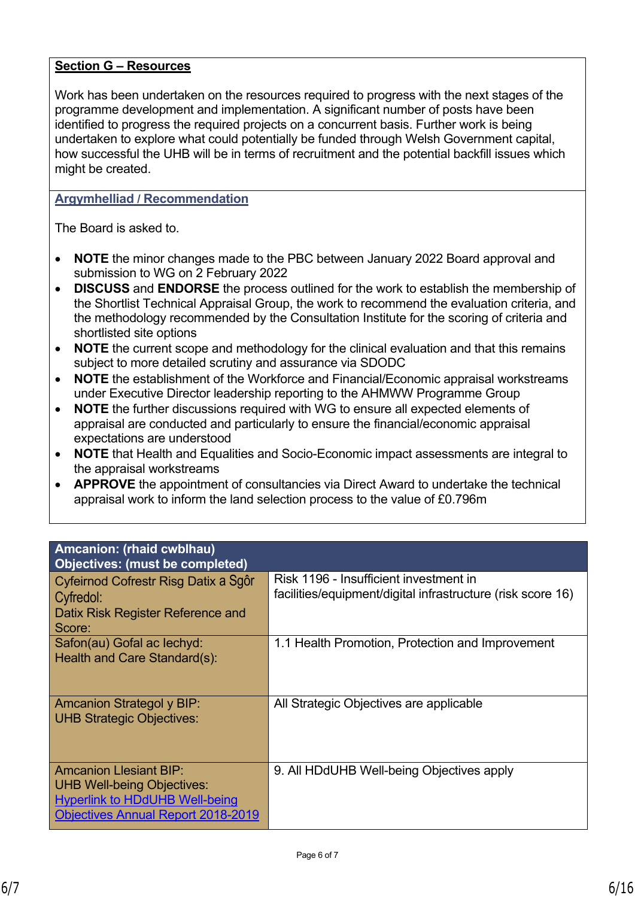#### **Section G – Resources**

Work has been undertaken on the resources required to progress with the next stages of the programme development and implementation. A significant number of posts have been identified to progress the required projects on a concurrent basis. Further work is being undertaken to explore what could potentially be funded through Welsh Government capital, how successful the UHB will be in terms of recruitment and the potential backfill issues which might be created.

#### **Argymhelliad / Recommendation**

The Board is asked to.

- **NOTE** the minor changes made to the PBC between January 2022 Board approval and submission to WG on 2 February 2022
- **DISCUSS** and **ENDORSE** the process outlined for the work to establish the membership of the Shortlist Technical Appraisal Group, the work to recommend the evaluation criteria, and the methodology recommended by the Consultation Institute for the scoring of criteria and shortlisted site options
- **NOTE** the current scope and methodology for the clinical evaluation and that this remains subject to more detailed scrutiny and assurance via SDODC
- **NOTE** the establishment of the Workforce and Financial/Economic appraisal workstreams under Executive Director leadership reporting to the AHMWW Programme Group
- **NOTE** the further discussions required with WG to ensure all expected elements of appraisal are conducted and particularly to ensure the financial/economic appraisal expectations are understood
- **NOTE** that Health and Equalities and Socio-Economic impact assessments are integral to the appraisal workstreams
- **APPROVE** the appointment of consultancies via Direct Award to undertake the technical appraisal work to inform the land selection process to the value of £0.796m

| Amcanion: (rhaid cwblhau)                                                                                                                                |                                                                                                       |
|----------------------------------------------------------------------------------------------------------------------------------------------------------|-------------------------------------------------------------------------------------------------------|
| <b>Objectives: (must be completed)</b>                                                                                                                   |                                                                                                       |
| Cyfeirnod Cofrestr Risg Datix a Sgôr<br>Cyfredol:<br>Datix Risk Register Reference and<br>Score:                                                         | Risk 1196 - Insufficient investment in<br>facilities/equipment/digital infrastructure (risk score 16) |
| Safon(au) Gofal ac lechyd:<br>Health and Care Standard(s):                                                                                               | 1.1 Health Promotion, Protection and Improvement                                                      |
| <b>Amcanion Strategol y BIP:</b><br><b>UHB Strategic Objectives:</b>                                                                                     | All Strategic Objectives are applicable                                                               |
| <b>Amcanion Llesiant BIP:</b><br><b>UHB Well-being Objectives:</b><br><b>Hyperlink to HDdUHB Well-being</b><br><b>Objectives Annual Report 2018-2019</b> | 9. All HDdUHB Well-being Objectives apply                                                             |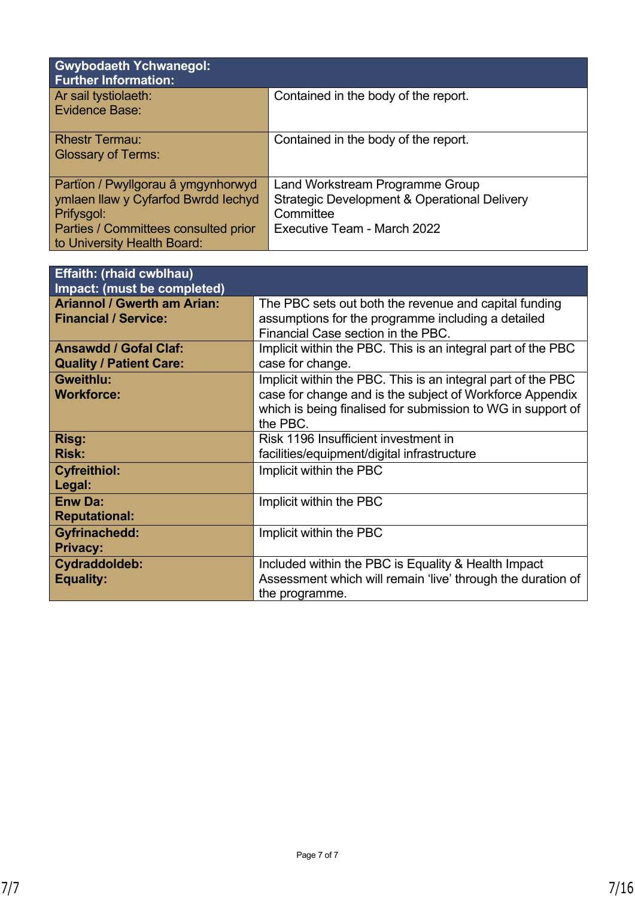| <b>Gwybodaeth Ychwanegol:</b><br><b>Further Information:</b>                                                                                                   |                                                                                                                             |
|----------------------------------------------------------------------------------------------------------------------------------------------------------------|-----------------------------------------------------------------------------------------------------------------------------|
| Ar sail tystiolaeth:<br>Evidence Base:                                                                                                                         | Contained in the body of the report.                                                                                        |
| <b>Rhestr Termau:</b><br><b>Glossary of Terms:</b>                                                                                                             | Contained in the body of the report.                                                                                        |
| Partïon / Pwyllgorau â ymgynhorwyd<br>ymlaen llaw y Cyfarfod Bwrdd Iechyd<br>Prifysgol:<br>Parties / Committees consulted prior<br>to University Health Board: | Land Workstream Programme Group<br>Strategic Development & Operational Delivery<br>Committee<br>Executive Team - March 2022 |

| <b>Effaith: (rhaid cwblhau)</b><br>Impact: (must be completed)    |                                                                                                                                                                                                     |
|-------------------------------------------------------------------|-----------------------------------------------------------------------------------------------------------------------------------------------------------------------------------------------------|
| <b>Ariannol / Gwerth am Arian:</b><br><b>Financial / Service:</b> | The PBC sets out both the revenue and capital funding<br>assumptions for the programme including a detailed<br>Financial Case section in the PBC.                                                   |
| <b>Ansawdd / Gofal Claf:</b><br><b>Quality / Patient Care:</b>    | Implicit within the PBC. This is an integral part of the PBC<br>case for change.                                                                                                                    |
| <b>Gweithlu:</b><br><b>Workforce:</b>                             | Implicit within the PBC. This is an integral part of the PBC<br>case for change and is the subject of Workforce Appendix<br>which is being finalised for submission to WG in support of<br>the PBC. |
| Risg:<br><b>Risk:</b>                                             | Risk 1196 Insufficient investment in<br>facilities/equipment/digital infrastructure                                                                                                                 |
| <b>Cyfreithiol:</b><br>Legal:                                     | Implicit within the PBC                                                                                                                                                                             |
| <b>Enw Da:</b><br><b>Reputational:</b>                            | Implicit within the PBC                                                                                                                                                                             |
| <b>Gyfrinachedd:</b><br><b>Privacy:</b>                           | Implicit within the PBC                                                                                                                                                                             |
| Cydraddoldeb:<br><b>Equality:</b>                                 | Included within the PBC is Equality & Health Impact<br>Assessment which will remain 'live' through the duration of<br>the programme.                                                                |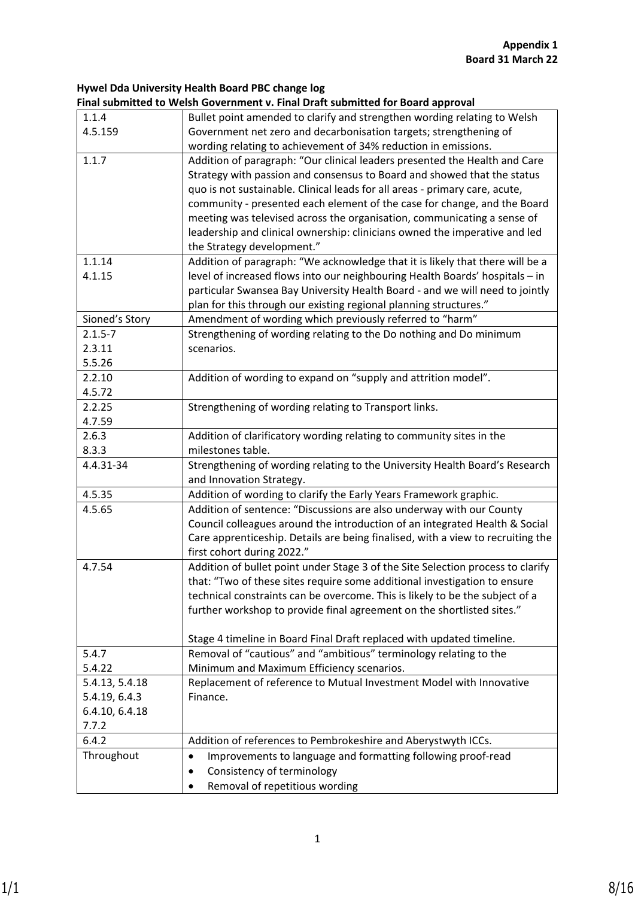#### **Hywel Dda University Health Board PBC change log Final submitted to Welsh Government v. Final Draft submitted for Board approval**

|                | rinai submitted to Weish Government v. rinai Drait submitted for board approval |
|----------------|---------------------------------------------------------------------------------|
| 1.1.4          | Bullet point amended to clarify and strengthen wording relating to Welsh        |
| 4.5.159        | Government net zero and decarbonisation targets; strengthening of               |
|                | wording relating to achievement of 34% reduction in emissions.                  |
| 1.1.7          | Addition of paragraph: "Our clinical leaders presented the Health and Care      |
|                | Strategy with passion and consensus to Board and showed that the status         |
|                | quo is not sustainable. Clinical leads for all areas - primary care, acute,     |
|                | community - presented each element of the case for change, and the Board        |
|                | meeting was televised across the organisation, communicating a sense of         |
|                | leadership and clinical ownership: clinicians owned the imperative and led      |
|                | the Strategy development."                                                      |
| 1.1.14         | Addition of paragraph: "We acknowledge that it is likely that there will be a   |
| 4.1.15         | level of increased flows into our neighbouring Health Boards' hospitals - in    |
|                | particular Swansea Bay University Health Board - and we will need to jointly    |
|                | plan for this through our existing regional planning structures."               |
| Sioned's Story | Amendment of wording which previously referred to "harm"                        |
| $2.1.5 - 7$    | Strengthening of wording relating to the Do nothing and Do minimum              |
| 2.3.11         | scenarios.                                                                      |
| 5.5.26         |                                                                                 |
| 2.2.10         | Addition of wording to expand on "supply and attrition model".                  |
| 4.5.72         |                                                                                 |
| 2.2.25         | Strengthening of wording relating to Transport links.                           |
| 4.7.59         |                                                                                 |
| 2.6.3          | Addition of clarificatory wording relating to community sites in the            |
| 8.3.3          | milestones table.                                                               |
| 4.4.31-34      | Strengthening of wording relating to the University Health Board's Research     |
|                | and Innovation Strategy.                                                        |
| 4.5.35         | Addition of wording to clarify the Early Years Framework graphic.               |
| 4.5.65         | Addition of sentence: "Discussions are also underway with our County            |
|                | Council colleagues around the introduction of an integrated Health & Social     |
|                | Care apprenticeship. Details are being finalised, with a view to recruiting the |
|                | first cohort during 2022."                                                      |
| 4.7.54         | Addition of bullet point under Stage 3 of the Site Selection process to clarify |
|                | that: "Two of these sites require some additional investigation to ensure       |
|                | technical constraints can be overcome. This is likely to be the subject of a    |
|                | further workshop to provide final agreement on the shortlisted sites."          |
|                |                                                                                 |
|                | Stage 4 timeline in Board Final Draft replaced with updated timeline.           |
| 5.4.7          | Removal of "cautious" and "ambitious" terminology relating to the               |
| 5.4.22         | Minimum and Maximum Efficiency scenarios.                                       |
| 5.4.13, 5.4.18 | Replacement of reference to Mutual Investment Model with Innovative             |
| 5.4.19, 6.4.3  | Finance.                                                                        |
| 6.4.10, 6.4.18 |                                                                                 |
| 7.7.2          |                                                                                 |
| 6.4.2          | Addition of references to Pembrokeshire and Aberystwyth ICCs.                   |
| Throughout     | Improvements to language and formatting following proof-read<br>٠               |
|                | Consistency of terminology<br>$\bullet$                                         |
|                | Removal of repetitious wording                                                  |
|                |                                                                                 |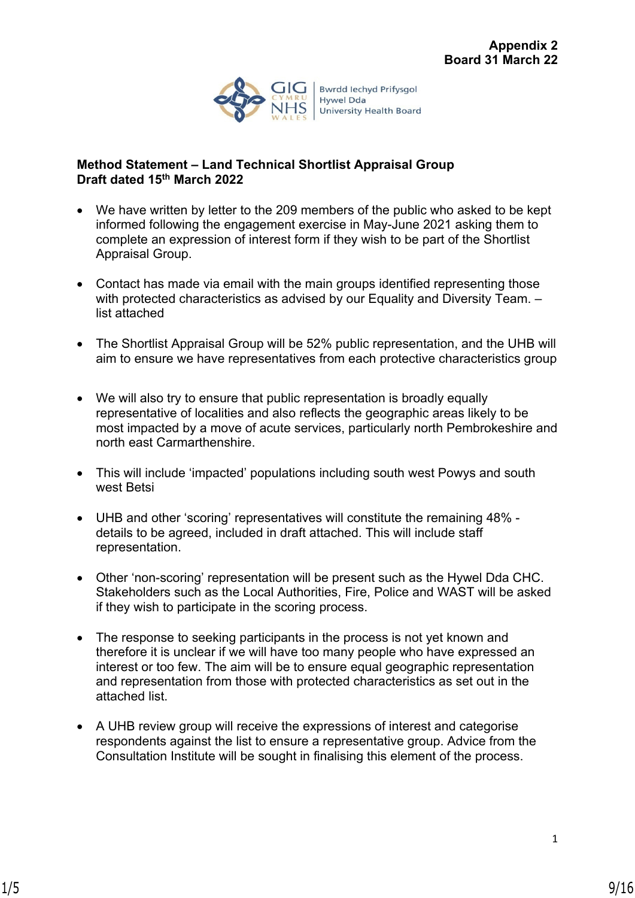

**Bwrdd lechyd Prifysgol** Hywel Dda **University Health Board** 

#### **Method Statement – Land Technical Shortlist Appraisal Group Draft dated 15th March 2022**

- We have written by letter to the 209 members of the public who asked to be kept informed following the engagement exercise in May-June 2021 asking them to complete an expression of interest form if they wish to be part of the Shortlist Appraisal Group.
- Contact has made via email with the main groups identified representing those with protected characteristics as advised by our Equality and Diversity Team. list attached
- The Shortlist Appraisal Group will be 52% public representation, and the UHB will aim to ensure we have representatives from each protective characteristics group
- We will also try to ensure that public representation is broadly equally representative of localities and also reflects the geographic areas likely to be most impacted by a move of acute services, particularly north Pembrokeshire and north east Carmarthenshire.
- This will include 'impacted' populations including south west Powys and south west Betsi
- UHB and other 'scoring' representatives will constitute the remaining 48% details to be agreed, included in draft attached. This will include staff representation.
- Other 'non-scoring' representation will be present such as the Hywel Dda CHC. Stakeholders such as the Local Authorities, Fire, Police and WAST will be asked if they wish to participate in the scoring process.
- The response to seeking participants in the process is not yet known and therefore it is unclear if we will have too many people who have expressed an interest or too few. The aim will be to ensure equal geographic representation and representation from those with protected characteristics as set out in the attached list.
- A UHB review group will receive the expressions of interest and categorise respondents against the list to ensure a representative group. Advice from the Consultation Institute will be sought in finalising this element of the process.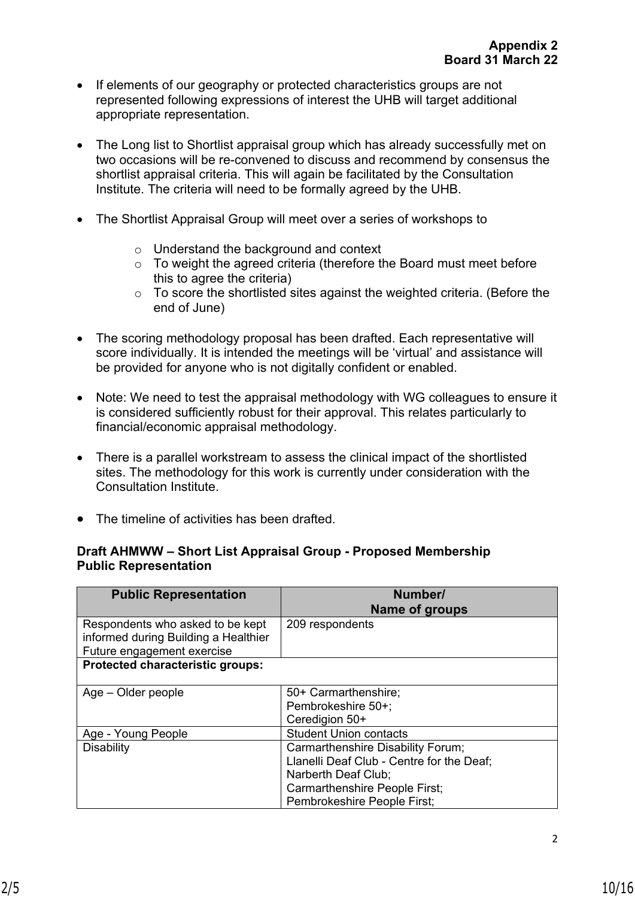- If elements of our geography or protected characteristics groups are not represented following expressions of interest the UHB will target additional appropriate representation.
- The Long list to Shortlist appraisal group which has already successfully met on two occasions will be re-convened to discuss and recommend by consensus the shortlist appraisal criteria. This will again be facilitated by the Consultation Institute. The criteria will need to be formally agreed by the UHB.
- The Shortlist Appraisal Group will meet over a series of workshops to
	- o Understand the background and context
	- o To weight the agreed criteria (therefore the Board must meet before this to agree the criteria)
	- o To score the shortlisted sites against the weighted criteria. (Before the end of June)
- The scoring methodology proposal has been drafted. Each representative will score individually. It is intended the meetings will be 'virtual' and assistance will be provided for anyone who is not digitally confident or enabled.
- Note: We need to test the appraisal methodology with WG colleagues to ensure it is considered sufficiently robust for their approval. This relates particularly to financial/economic appraisal methodology.
- There is a parallel workstream to assess the clinical impact of the shortlisted sites. The methodology for this work is currently under consideration with the Consultation Institute.
- The timeline of activities has been drafted.

#### **Draft AHMWW – Short List Appraisal Group - Proposed Membership Public Representation**

| <b>Public Representation</b>                                                                           | Number/<br><b>Name of groups</b>                                                                                                 |
|--------------------------------------------------------------------------------------------------------|----------------------------------------------------------------------------------------------------------------------------------|
| Respondents who asked to be kept<br>informed during Building a Healthier<br>Future engagement exercise | 209 respondents                                                                                                                  |
| Protected characteristic groups:                                                                       |                                                                                                                                  |
| Age – Older people                                                                                     | 50+ Carmarthenshire;<br>Pembrokeshire 50+;<br>Ceredigion 50+                                                                     |
| Age - Young People<br><b>Disability</b>                                                                | <b>Student Union contacts</b><br>Carmarthenshire Disability Forum;                                                               |
|                                                                                                        | Llanelli Deaf Club - Centre for the Deaf;<br>Narberth Deaf Club;<br>Carmarthenshire People First;<br>Pembrokeshire People First; |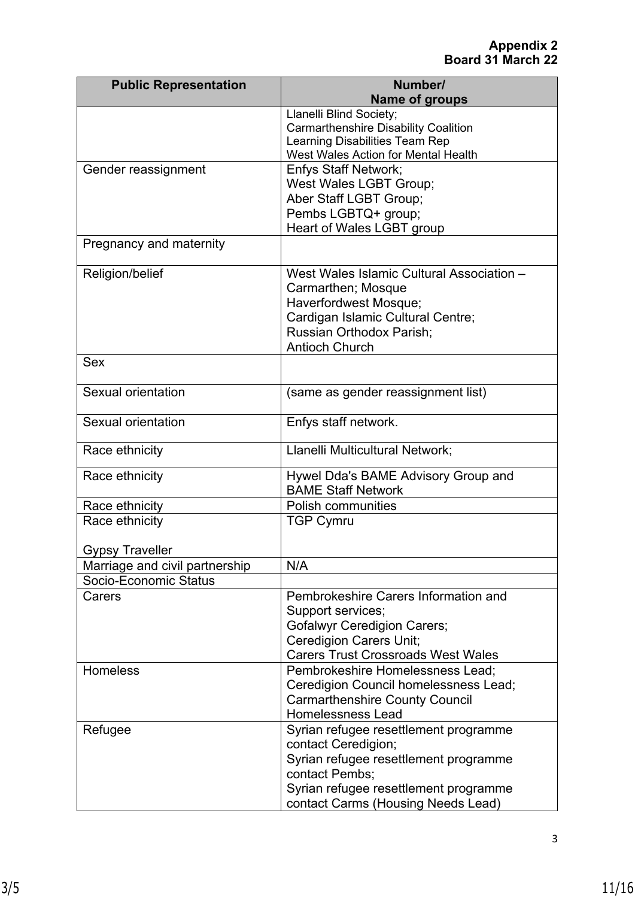| <b>Public Representation</b>   | Number/                                                               |
|--------------------------------|-----------------------------------------------------------------------|
|                                | <b>Name of groups</b>                                                 |
|                                | Llanelli Blind Society;                                               |
|                                | <b>Carmarthenshire Disability Coalition</b>                           |
|                                | Learning Disabilities Team Rep<br>West Wales Action for Mental Health |
|                                |                                                                       |
| Gender reassignment            | <b>Enfys Staff Network;</b>                                           |
|                                | West Wales LGBT Group;<br>Aber Staff LGBT Group;                      |
|                                |                                                                       |
|                                | Pembs LGBTQ+ group;                                                   |
|                                | Heart of Wales LGBT group                                             |
| Pregnancy and maternity        |                                                                       |
| Religion/belief                | West Wales Islamic Cultural Association -                             |
|                                | Carmarthen; Mosque                                                    |
|                                | Haverfordwest Mosque;                                                 |
|                                | Cardigan Islamic Cultural Centre;                                     |
|                                | Russian Orthodox Parish;                                              |
|                                | <b>Antioch Church</b>                                                 |
| <b>Sex</b>                     |                                                                       |
| Sexual orientation             | (same as gender reassignment list)                                    |
|                                |                                                                       |
| Sexual orientation             | Enfys staff network.                                                  |
| Race ethnicity                 | Llanelli Multicultural Network;                                       |
| Race ethnicity                 | Hywel Dda's BAME Advisory Group and                                   |
|                                | <b>BAME Staff Network</b>                                             |
| Race ethnicity                 | <b>Polish communities</b>                                             |
| Race ethnicity                 | <b>TGP Cymru</b>                                                      |
|                                |                                                                       |
| <b>Gypsy Traveller</b>         |                                                                       |
| Marriage and civil partnership | N/A                                                                   |
| Socio-Economic Status          |                                                                       |
| Carers                         | Pembrokeshire Carers Information and                                  |
|                                | Support services;                                                     |
|                                | <b>Gofalwyr Ceredigion Carers;</b>                                    |
|                                | <b>Ceredigion Carers Unit;</b>                                        |
|                                | <b>Carers Trust Crossroads West Wales</b>                             |
| <b>Homeless</b>                | Pembrokeshire Homelessness Lead;                                      |
|                                | Ceredigion Council homelessness Lead;                                 |
|                                | <b>Carmarthenshire County Council</b>                                 |
|                                | <b>Homelessness Lead</b>                                              |
| Refugee                        | Syrian refugee resettlement programme                                 |
|                                | contact Ceredigion;                                                   |
|                                | Syrian refugee resettlement programme                                 |
|                                | contact Pembs;                                                        |
|                                | Syrian refugee resettlement programme                                 |
|                                | contact Carms (Housing Needs Lead)                                    |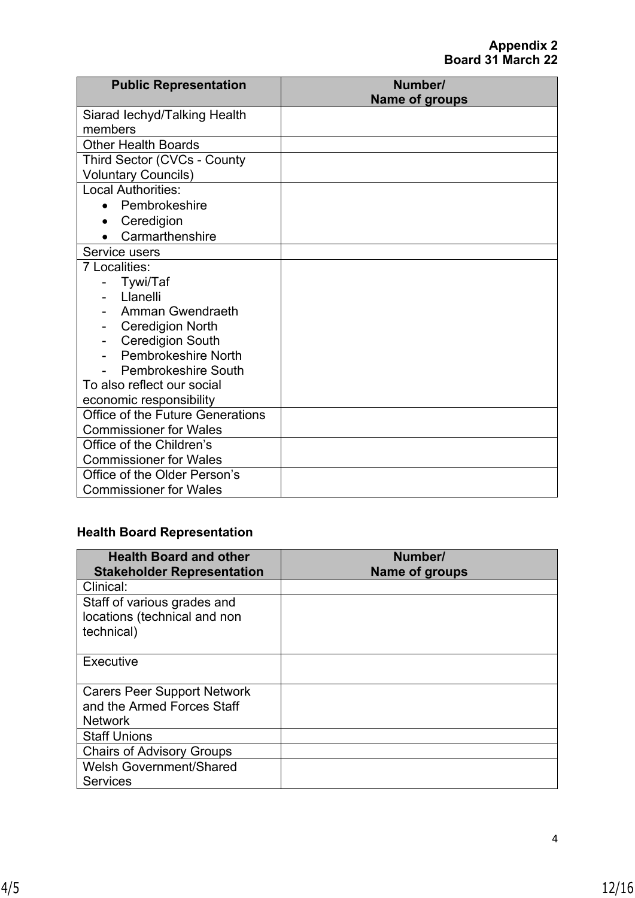| <b>Public Representation</b>       | Number/<br><b>Name of groups</b> |
|------------------------------------|----------------------------------|
| Siarad lechyd/Talking Health       |                                  |
| members                            |                                  |
| <b>Other Health Boards</b>         |                                  |
| <b>Third Sector (CVCs - County</b> |                                  |
| <b>Voluntary Councils)</b>         |                                  |
| <b>Local Authorities:</b>          |                                  |
| Pembrokeshire                      |                                  |
| Ceredigion<br>$\bullet$            |                                  |
| Carmarthenshire                    |                                  |
| Service users                      |                                  |
| 7 Localities:                      |                                  |
| Tywi/Taf                           |                                  |
| Llanelli                           |                                  |
| Amman Gwendraeth                   |                                  |
| <b>Ceredigion North</b>            |                                  |
| <b>Ceredigion South</b>            |                                  |
| Pembrokeshire North                |                                  |
| Pembrokeshire South                |                                  |
| To also reflect our social         |                                  |
| economic responsibility            |                                  |
| Office of the Future Generations   |                                  |
| <b>Commissioner for Wales</b>      |                                  |
| Office of the Children's           |                                  |
| <b>Commissioner for Wales</b>      |                                  |
| Office of the Older Person's       |                                  |
| <b>Commissioner for Wales</b>      |                                  |

# **Health Board Representation**

| <b>Health Board and other</b><br><b>Stakeholder Representation</b> | Number/<br>Name of groups |
|--------------------------------------------------------------------|---------------------------|
| Clinical:                                                          |                           |
| Staff of various grades and<br>locations (technical and non        |                           |
| technical)                                                         |                           |
| Executive                                                          |                           |
| <b>Carers Peer Support Network</b>                                 |                           |
| and the Armed Forces Staff                                         |                           |
| <b>Network</b>                                                     |                           |
| <b>Staff Unions</b>                                                |                           |
| <b>Chairs of Advisory Groups</b>                                   |                           |
| <b>Welsh Government/Shared</b>                                     |                           |
| <b>Services</b>                                                    |                           |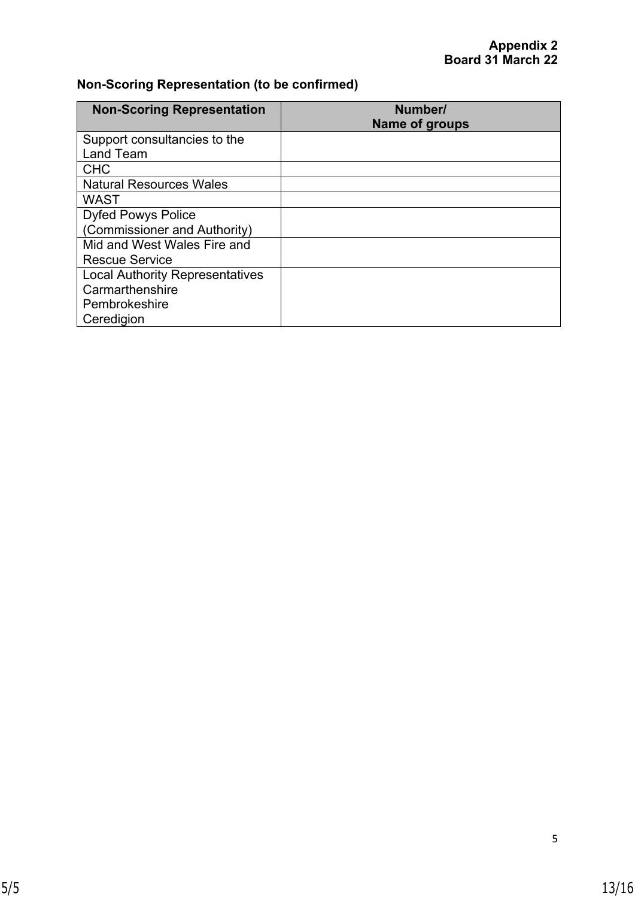# **Non-Scoring Representation (to be confirmed)**

| <b>Non-Scoring Representation</b>      | Number/<br><b>Name of groups</b> |
|----------------------------------------|----------------------------------|
| Support consultancies to the           |                                  |
| Land Team                              |                                  |
| <b>CHC</b>                             |                                  |
| <b>Natural Resources Wales</b>         |                                  |
| <b>WAST</b>                            |                                  |
| <b>Dyfed Powys Police</b>              |                                  |
| (Commissioner and Authority)           |                                  |
| Mid and West Wales Fire and            |                                  |
| <b>Rescue Service</b>                  |                                  |
| <b>Local Authority Representatives</b> |                                  |
| Carmarthenshire                        |                                  |
| Pembrokeshire                          |                                  |
| Ceredigion                             |                                  |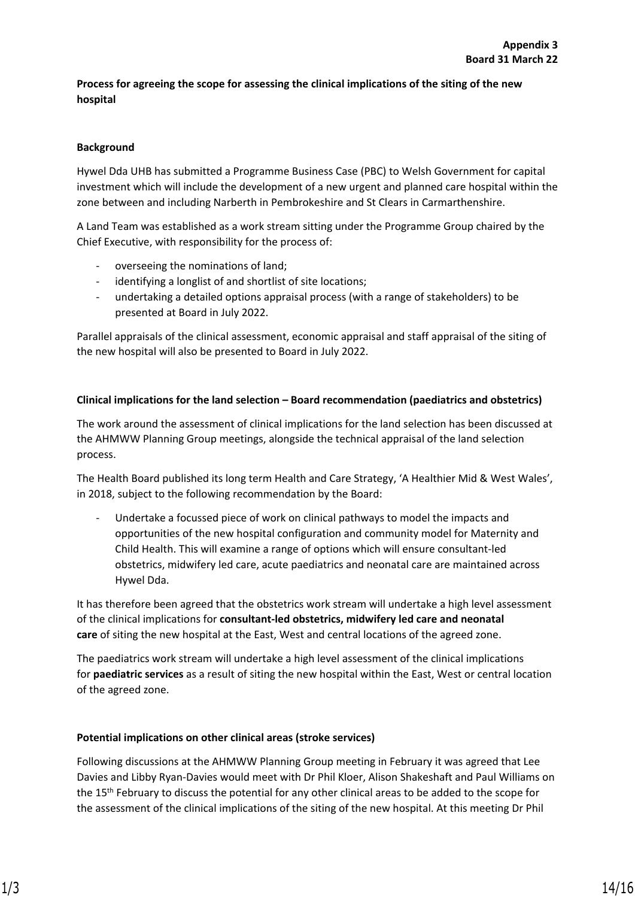#### **Process for agreeing the scope for assessing the clinical implications of the siting of the new hospital**

#### **Background**

Hywel Dda UHB has submitted a Programme Business Case (PBC) to Welsh Government for capital investment which will include the development of a new urgent and planned care hospital within the zone between and including Narberth in Pembrokeshire and St Clears in Carmarthenshire.

A Land Team was established as a work stream sitting under the Programme Group chaired by the Chief Executive, with responsibility for the process of:

- overseeing the nominations of land;
- identifying a longlist of and shortlist of site locations;
- undertaking a detailed options appraisal process (with a range of stakeholders) to be presented at Board in July 2022.

Parallel appraisals of the clinical assessment, economic appraisal and staff appraisal of the siting of the new hospital will also be presented to Board in July 2022.

#### **Clinical implications for the land selection – Board recommendation (paediatrics and obstetrics)**

The work around the assessment of clinical implications for the land selection has been discussed at the AHMWW Planning Group meetings, alongside the technical appraisal of the land selection process.

The Health Board published its long term Health and Care Strategy, 'A Healthier Mid & West Wales', in 2018, subject to the following recommendation by the Board:

Undertake a focussed piece of work on clinical pathways to model the impacts and opportunities of the new hospital configuration and community model for Maternity and Child Health. This will examine a range of options which will ensure consultant-led obstetrics, midwifery led care, acute paediatrics and neonatal care are maintained across Hywel Dda.

It has therefore been agreed that the obstetrics work stream will undertake a high level assessment of the clinical implications for **consultant-led obstetrics, midwifery led care and neonatal care** of siting the new hospital at the East, West and central locations of the agreed zone.

The paediatrics work stream will undertake a high level assessment of the clinical implications for **paediatric services** as a result of siting the new hospital within the East, West or central location of the agreed zone.

#### **Potential implications on other clinical areas (stroke services)**

Following discussions at the AHMWW Planning Group meeting in February it was agreed that Lee Davies and Libby Ryan-Davies would meet with Dr Phil Kloer, Alison Shakeshaft and Paul Williams on the 15th February to discuss the potential for any other clinical areas to be added to the scope for the assessment of the clinical implications of the siting of the new hospital. At this meeting Dr Phil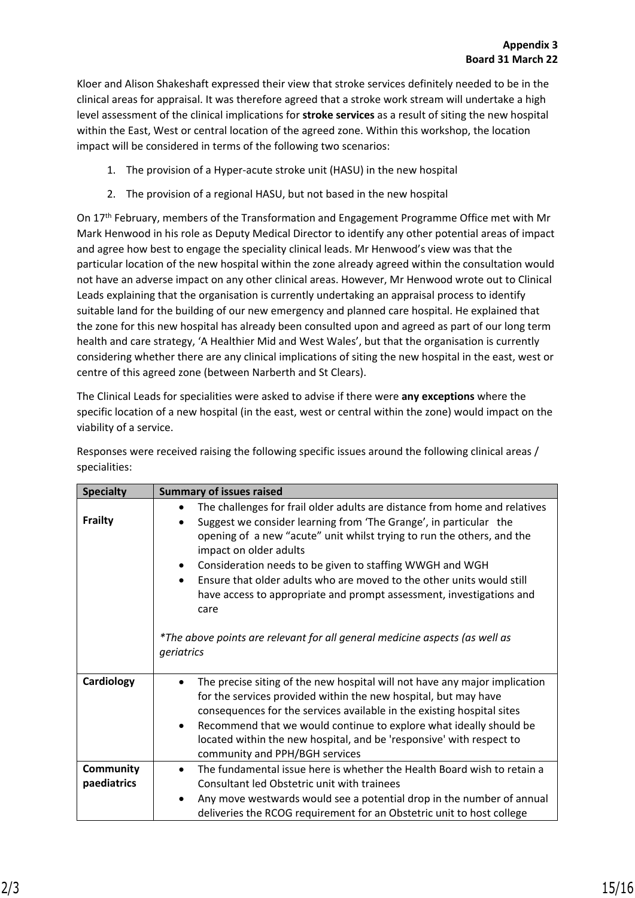Kloer and Alison Shakeshaft expressed their view that stroke services definitely needed to be in the clinical areas for appraisal. It was therefore agreed that a stroke work stream will undertake a high level assessment of the clinical implications for **stroke services** as a result of siting the new hospital within the East, West or central location of the agreed zone. Within this workshop, the location impact will be considered in terms of the following two scenarios:

- 1. The provision of a Hyper-acute stroke unit (HASU) in the new hospital
- 2. The provision of a regional HASU, but not based in the new hospital

On 17th February, members of the Transformation and Engagement Programme Office met with Mr Mark Henwood in his role as Deputy Medical Director to identify any other potential areas of impact and agree how best to engage the speciality clinical leads. Mr Henwood's view was that the particular location of the new hospital within the zone already agreed within the consultation would not have an adverse impact on any other clinical areas. However, Mr Henwood wrote out to Clinical Leads explaining that the organisation is currently undertaking an appraisal process to identify suitable land for the building of our new emergency and planned care hospital. He explained that the zone for this new hospital has already been consulted upon and agreed as part of our long term health and care strategy, 'A Healthier Mid and West Wales', but that the organisation is currently considering whether there are any clinical implications of siting the new hospital in the east, west or centre of this agreed zone (between Narberth and St Clears).

The Clinical Leads for specialities were asked to advise if there were **any exceptions** where the specific location of a new hospital (in the east, west or central within the zone) would impact on the viability of a service.

Responses were received raising the following specific issues around the following clinical areas / specialities:

| <b>Specialty</b> | <b>Summary of issues raised</b>                                                                                                                                                                                                                                                                                                                                                                                      |
|------------------|----------------------------------------------------------------------------------------------------------------------------------------------------------------------------------------------------------------------------------------------------------------------------------------------------------------------------------------------------------------------------------------------------------------------|
|                  | The challenges for frail older adults are distance from home and relatives<br>$\bullet$                                                                                                                                                                                                                                                                                                                              |
| <b>Frailty</b>   | Suggest we consider learning from 'The Grange', in particular the<br>opening of a new "acute" unit whilst trying to run the others, and the<br>impact on older adults<br>Consideration needs to be given to staffing WWGH and WGH<br>$\bullet$<br>Ensure that older adults who are moved to the other units would still<br>$\bullet$<br>have access to appropriate and prompt assessment, investigations and<br>care |
|                  | *The above points are relevant for all general medicine aspects (as well as<br>geriatrics                                                                                                                                                                                                                                                                                                                            |
| Cardiology       | The precise siting of the new hospital will not have any major implication<br>for the services provided within the new hospital, but may have<br>consequences for the services available in the existing hospital sites<br>Recommend that we would continue to explore what ideally should be<br>$\bullet$<br>located within the new hospital, and be 'responsive' with respect to<br>community and PPH/BGH services |
| Community        | The fundamental issue here is whether the Health Board wish to retain a<br>$\bullet$                                                                                                                                                                                                                                                                                                                                 |
| paediatrics      | Consultant led Obstetric unit with trainees                                                                                                                                                                                                                                                                                                                                                                          |
|                  | Any move westwards would see a potential drop in the number of annual<br>٠<br>deliveries the RCOG requirement for an Obstetric unit to host college                                                                                                                                                                                                                                                                  |